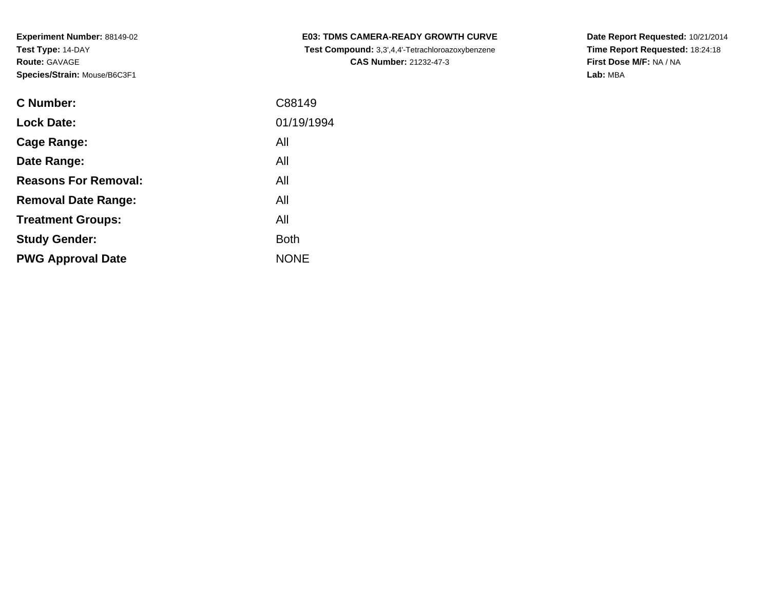| <b>C Number:</b>            | C88149      |
|-----------------------------|-------------|
| <b>Lock Date:</b>           | 01/19/1994  |
| Cage Range:                 | All         |
| Date Range:                 | All         |
| <b>Reasons For Removal:</b> | All         |
| <b>Removal Date Range:</b>  | All         |
| <b>Treatment Groups:</b>    | All         |
| <b>Study Gender:</b>        | <b>Both</b> |
| <b>PWG Approval Date</b>    | <b>NONE</b> |
|                             |             |

**E03: TDMS CAMERA-READY GROWTH CURVE Test Compound:** 3,3',4,4'-Tetrachloroazoxybenzene**CAS Number:** 21232-47-3

**Date Report Requested:** 10/21/2014 **Time Report Requested:** 18:24:18**First Dose M/F:** NA / NA**Lab:** MBA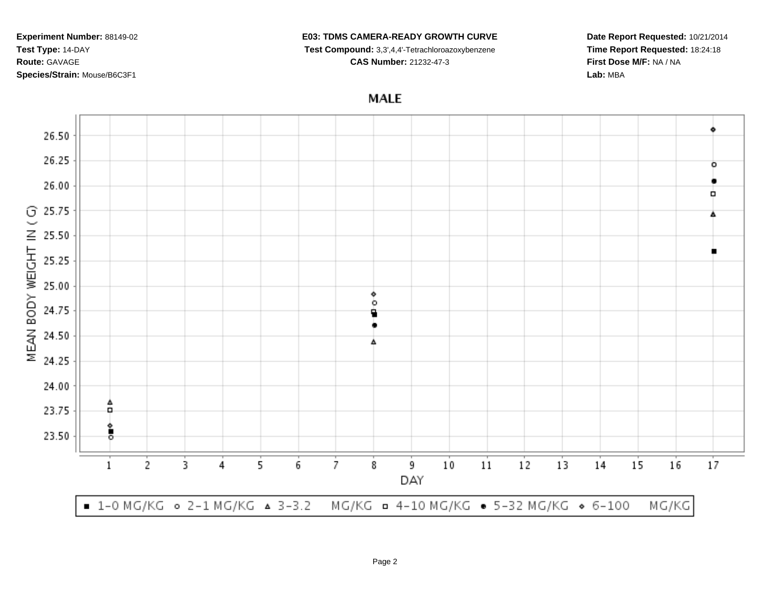## **E03: TDMS CAMERA-READY GROWTH CURVE**

**Test Compound:** 3,3',4,4'-Tetrachloroazoxybenzene

**CAS Number:** 21232-47-3

**Date Report Requested:** 10/21/2014**Time Report Requested:** 18:24:18**First Dose M/F:** NA / NA**Lab:** MBA

**MALE** 

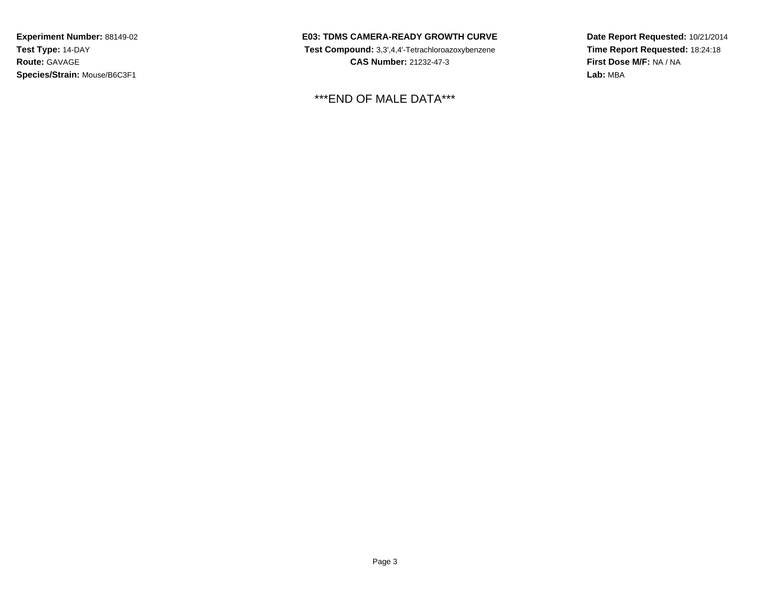**E03: TDMS CAMERA-READY GROWTH CURVE Test Compound:** 3,3',4,4'-Tetrachloroazoxybenzene**CAS Number:** 21232-47-3

\*\*\*END OF MALE DATA\*\*\*

**Date Report Requested:** 10/21/2014**Time Report Requested:** 18:24:18**First Dose M/F:** NA / NA**Lab:** MBA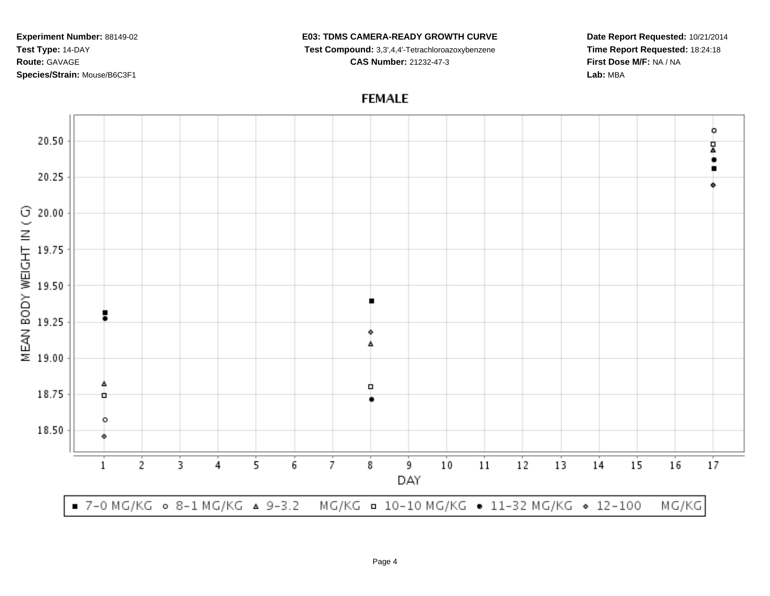## **E03: TDMS CAMERA-READY GROWTH CURVE**

**Test Compound:** 3,3',4,4'-Tetrachloroazoxybenzene

**CAS Number:** 21232-47-3

**Date Report Requested:** 10/21/2014**Time Report Requested:** 18:24:18**First Dose M/F:** NA / NA**Lab:** MBA

## **FEMALE**